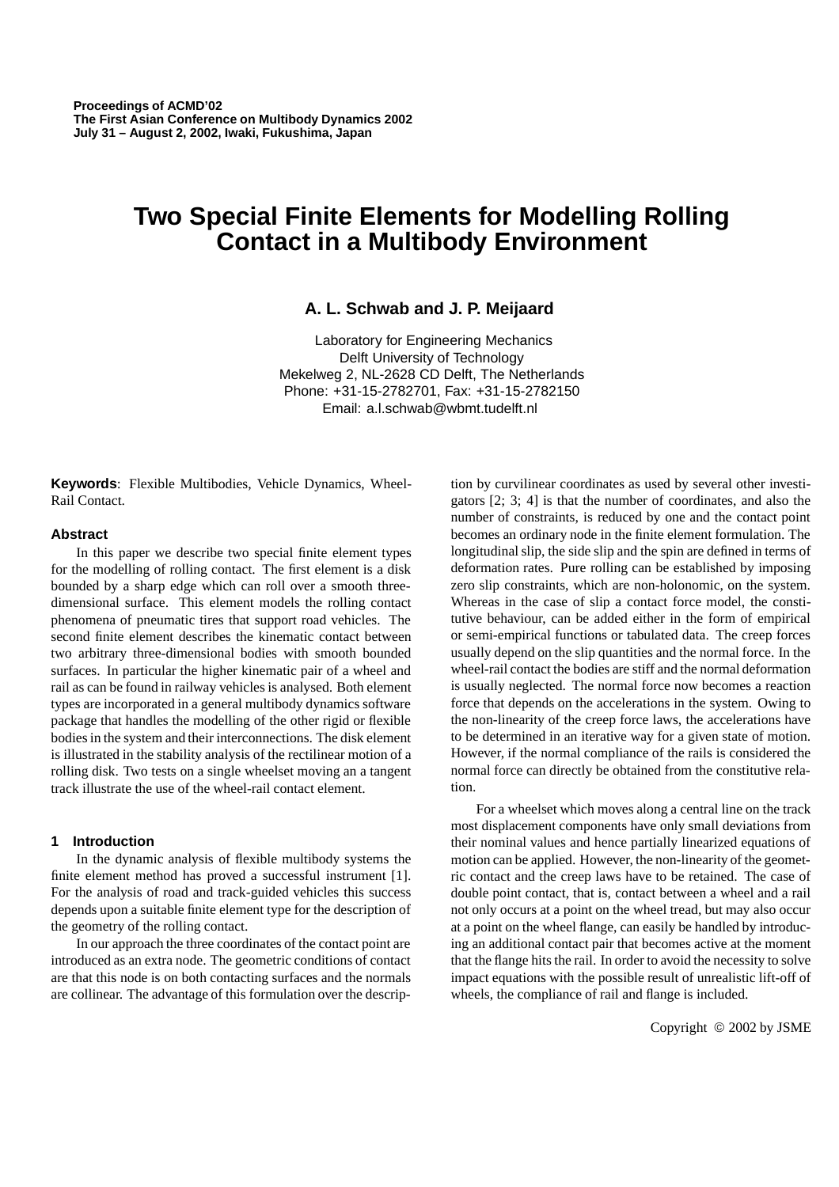# **Two Special Finite Elements for Modelling Rolling Contact in a Multibody Environment**

# **A. L. Schwab and J. P. Meijaard**

Laboratory for Engineering Mechanics Delft University of Technology Mekelweg 2, NL-2628 CD Delft, The Netherlands Phone: +31-15-2782701, Fax: +31-15-2782150 Email: a.l.schwab@wbmt.tudelft.nl

**Keywords**: Flexible Multibodies, Vehicle Dynamics, Wheel-Rail Contact.

### **Abstract**

In this paper we describe two special finite element types for the modelling of rolling contact. The first element is a disk bounded by a sharp edge which can roll over a smooth threedimensional surface. This element models the rolling contact phenomena of pneumatic tires that support road vehicles. The second finite element describes the kinematic contact between two arbitrary three-dimensional bodies with smooth bounded surfaces. In particular the higher kinematic pair of a wheel and rail as can be found in railway vehicles is analysed. Both element types are incorporated in a general multibody dynamics software package that handles the modelling of the other rigid or flexible bodies in the system and their interconnections. The disk element is illustrated in the stability analysis of the rectilinear motion of a rolling disk. Two tests on a single wheelset moving an a tangent track illustrate the use of the wheel-rail contact element.

## **1 Introduction**

In the dynamic analysis of flexible multibody systems the finite element method has proved a successful instrument [1]. For the analysis of road and track-guided vehicles this success depends upon a suitable finite element type for the description of the geometry of the rolling contact.

In our approach the three coordinates of the contact point are introduced as an extra node. The geometric conditions of contact are that this node is on both contacting surfaces and the normals are collinear. The advantage of this formulation over the description by curvilinear coordinates as used by several other investigators [2; 3; 4] is that the number of coordinates, and also the number of constraints, is reduced by one and the contact point becomes an ordinary node in the finite element formulation. The longitudinal slip, the side slip and the spin are defined in terms of deformation rates. Pure rolling can be established by imposing zero slip constraints, which are non-holonomic, on the system. Whereas in the case of slip a contact force model, the constitutive behaviour, can be added either in the form of empirical or semi-empirical functions or tabulated data. The creep forces usually depend on the slip quantities and the normal force. In the wheel-rail contact the bodies are stiff and the normal deformation is usually neglected. The normal force now becomes a reaction force that depends on the accelerations in the system. Owing to the non-linearity of the creep force laws, the accelerations have to be determined in an iterative way for a given state of motion. However, if the normal compliance of the rails is considered the normal force can directly be obtained from the constitutive relation.

For a wheelset which moves along a central line on the track most displacement components have only small deviations from their nominal values and hence partially linearized equations of motion can be applied. However, the non-linearity of the geometric contact and the creep laws have to be retained. The case of double point contact, that is, contact between a wheel and a rail not only occurs at a point on the wheel tread, but may also occur at a point on the wheel flange, can easily be handled by introducing an additional contact pair that becomes active at the moment that the flange hits the rail. In order to avoid the necessity to solve impact equations with the possible result of unrealistic lift-off of wheels, the compliance of rail and flange is included.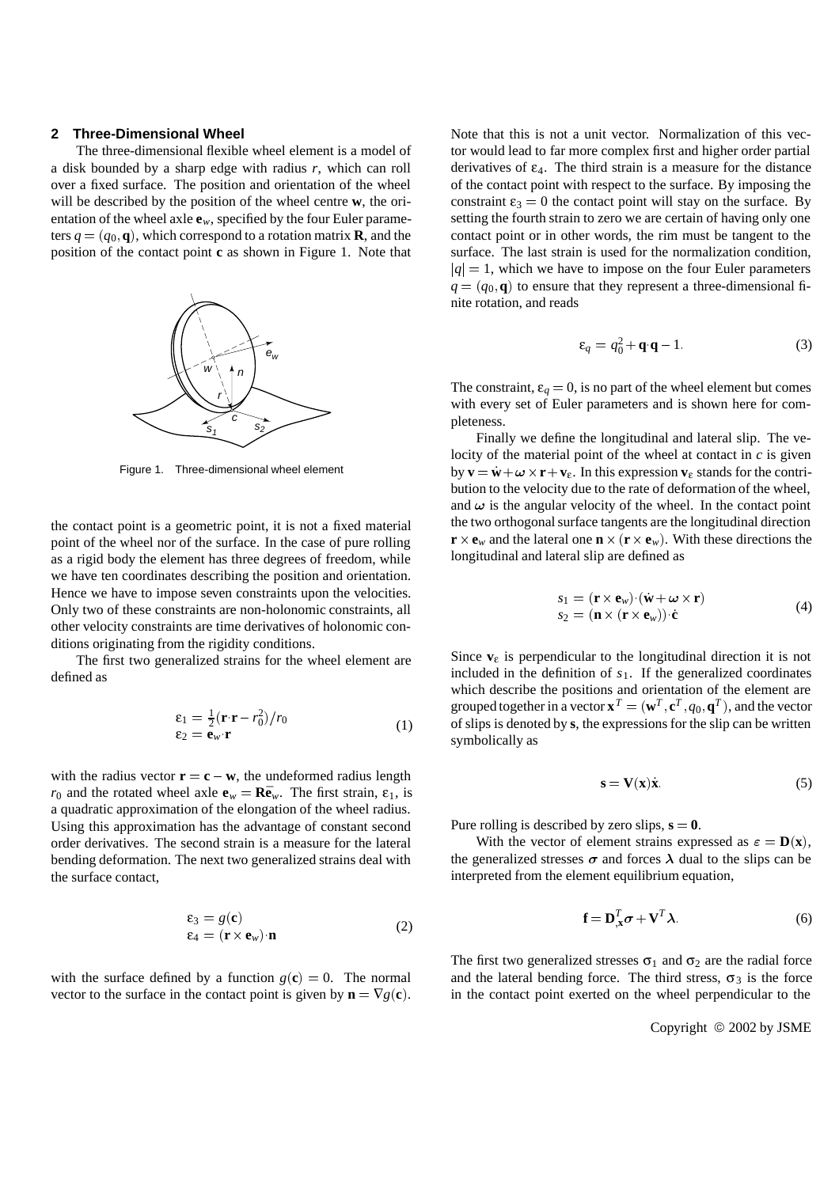#### **2 Three-Dimensional Wheel**

The three-dimensional flexible wheel element is a model of a disk bounded by a sharp edge with radius *r*, which can roll over a fixed surface. The position and orientation of the wheel will be described by the position of the wheel centre **w**, the orientation of the wheel axle  $\mathbf{e}_w$ , specified by the four Euler parameters  $q = (q_0, \mathbf{q})$ , which correspond to a rotation matrix **R**, and the position of the contact point **c** as shown in Figure 1. Note that



Figure 1. Three-dimensional wheel element

the contact point is a geometric point, it is not a fixed material point of the wheel nor of the surface. In the case of pure rolling as a rigid body the element has three degrees of freedom, while we have ten coordinates describing the position and orientation. Hence we have to impose seven constraints upon the velocities. Only two of these constraints are non-holonomic constraints, all other velocity constraints are time derivatives of holonomic conditions originating from the rigidity conditions.

The first two generalized strains for the wheel element are defined as

$$
\begin{aligned} \n\boldsymbol{\varepsilon}_1 &= \frac{1}{2} (\mathbf{r} \cdot \mathbf{r} - r_0^2) / r_0 \\ \n\boldsymbol{\varepsilon}_2 &= \mathbf{e}_w \cdot \mathbf{r} \n\end{aligned} \tag{1}
$$

with the radius vector  $\mathbf{r} = \mathbf{c} - \mathbf{w}$ , the undeformed radius length *r*<sub>0</sub> and the rotated wheel axle  $\mathbf{e}_w = \mathbf{R}\bar{\mathbf{e}}_w$ . The first strain,  $\epsilon_1$ , is a quadratic approximation of the elongation of the wheel radius. Using this approximation has the advantage of constant second order derivatives. The second strain is a measure for the lateral bending deformation. The next two generalized strains deal with the surface contact,

$$
\begin{aligned} \n\mathbf{\varepsilon}_{3} &= g(\mathbf{c})\\ \n\mathbf{\varepsilon}_{4} &= (\mathbf{r} \times \mathbf{e}_{w}) \cdot \mathbf{n} \n\end{aligned} \tag{2}
$$

with the surface defined by a function  $g(c) = 0$ . The normal vector to the surface in the contact point is given by  $\mathbf{n} = \nabla g(\mathbf{c})$ . Note that this is not a unit vector. Normalization of this vector would lead to far more complex first and higher order partial derivatives of  $\varepsilon_4$ . The third strain is a measure for the distance of the contact point with respect to the surface. By imposing the constraint  $\varepsilon_3 = 0$  the contact point will stay on the surface. By setting the fourth strain to zero we are certain of having only one contact point or in other words, the rim must be tangent to the surface. The last strain is used for the normalization condition,  $|q| = 1$ , which we have to impose on the four Euler parameters  $q = (q_0, \mathbf{q})$  to ensure that they represent a three-dimensional finite rotation, and reads

$$
\varepsilon_q = q_0^2 + \mathbf{q} \cdot \mathbf{q} - 1. \tag{3}
$$

The constraint,  $\varepsilon_q = 0$ , is no part of the wheel element but comes with every set of Euler parameters and is shown here for completeness.

Finally we define the longitudinal and lateral slip. The velocity of the material point of the wheel at contact in *c* is given by  $\mathbf{v} = \dot{\mathbf{w}} + \boldsymbol{\omega} \times \mathbf{r} + \mathbf{v}_{\varepsilon}$ . In this expression  $\mathbf{v}_{\varepsilon}$  stands for the contribution to the velocity due to the rate of deformation of the wheel, and  $\omega$  is the angular velocity of the wheel. In the contact point the two orthogonal surface tangents are the longitudinal direction  $\mathbf{r} \times \mathbf{e}_w$  and the lateral one  $\mathbf{n} \times (\mathbf{r} \times \mathbf{e}_w)$ . With these directions the longitudinal and lateral slip are defined as

$$
s_1 = (\mathbf{r} \times \mathbf{e}_w) \cdot (\dot{\mathbf{w}} + \boldsymbol{\omega} \times \mathbf{r})
$$
  
\n
$$
s_2 = (\mathbf{n} \times (\mathbf{r} \times \mathbf{e}_w)) \cdot \dot{\mathbf{c}}
$$
 (4)

Since  $\mathbf{v}_{\varepsilon}$  is perpendicular to the longitudinal direction it is not included in the definition of  $s<sub>1</sub>$ . If the generalized coordinates which describe the positions and orientation of the element are grouped together in a vector  $\mathbf{x}^T = (\mathbf{w}^T, \mathbf{c}^T, q_0, \mathbf{q}^T)$ , and the vector of slips is denoted by **s**, the expressions for the slip can be written symbolically as

$$
s = V(x)\dot{x}.
$$
 (5)

Pure rolling is described by zero slips,  $s = 0$ .

With the vector of element strains expressed as  $\varepsilon = D(\mathbf{x})$ , the generalized stresses  $\sigma$  and forces  $\lambda$  dual to the slips can be interpreted from the element equilibrium equation,

$$
\mathbf{f} = \mathbf{D}_{\mathbf{x}}^T \boldsymbol{\sigma} + \mathbf{V}^T \boldsymbol{\lambda}.
$$
 (6)

The first two generalized stresses  $\sigma_1$  and  $\sigma_2$  are the radial force and the lateral bending force. The third stress,  $\sigma_3$  is the force in the contact point exerted on the wheel perpendicular to the

Copyright  $@$  2002 by JSME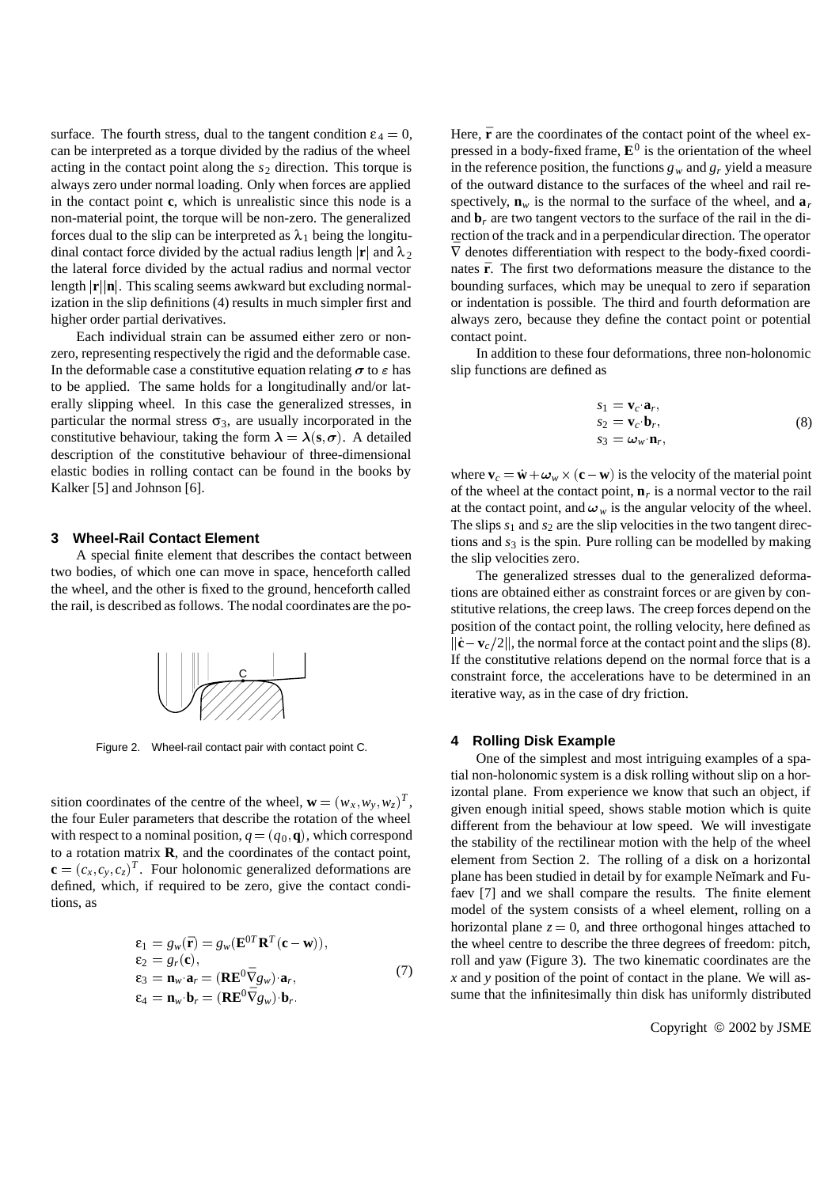surface. The fourth stress, dual to the tangent condition  $\epsilon_4 = 0$ , can be interpreted as a torque divided by the radius of the wheel acting in the contact point along the  $s_2$  direction. This torque is always zero under normal loading. Only when forces are applied in the contact point **c**, which is unrealistic since this node is a non-material point, the torque will be non-zero. The generalized forces dual to the slip can be interpreted as  $\lambda_1$  being the longitudinal contact force divided by the actual radius length  $|\mathbf{r}|$  and  $\lambda_2$ the lateral force divided by the actual radius and normal vector length  $|\mathbf{r}||\mathbf{n}|$ . This scaling seems awkward but excluding normalization in the slip definitions (4) results in much simpler first and higher order partial derivatives.

Each individual strain can be assumed either zero or nonzero, representing respectively the rigid and the deformable case. In the deformable case a constitutive equation relating  $\sigma$  to  $\varepsilon$  has to be applied. The same holds for a longitudinally and/or laterally slipping wheel. In this case the generalized stresses, in particular the normal stress  $\sigma_3$ , are usually incorporated in the constitutive behaviour, taking the form  $\lambda = \lambda(s, \sigma)$ . A detailed description of the constitutive behaviour of three-dimensional elastic bodies in rolling contact can be found in the books by Kalker [5] and Johnson [6].

#### **3 Wheel-Rail Contact Element**

A special finite element that describes the contact between two bodies, of which one can move in space, henceforth called the wheel, and the other is fixed to the ground, henceforth called the rail, is described as follows. The nodal coordinates are the po-



Figure 2. Wheel-rail contact pair with contact point C.

sition coordinates of the centre of the wheel,  $\mathbf{w} = (w_x, w_y, w_z)^T$ , the four Euler parameters that describe the rotation of the wheel with respect to a nominal position,  $q = (q_0, \mathbf{q})$ , which correspond to a rotation matrix **R**, and the coordinates of the contact point,  $\mathbf{c} = (c_x, c_y, c_z)^T$ . Four holonomic generalized deformations are defined, which, if required to be zero, give the contact conditions, as

$$
\varepsilon_1 = g_w(\bar{\mathbf{r}}) = g_w(\mathbf{E}^{0T} \mathbf{R}^T (\mathbf{c} - \mathbf{w})),
$$
  
\n
$$
\varepsilon_2 = g_r(\mathbf{c}),
$$
  
\n
$$
\varepsilon_3 = \mathbf{n}_w \cdot \mathbf{a}_r = (\mathbf{R} \mathbf{E}^0 \bar{\nabla} g_w) \cdot \mathbf{a}_r,
$$
  
\n
$$
\varepsilon_4 = \mathbf{n}_w \cdot \mathbf{b}_r = (\mathbf{R} \mathbf{E}^0 \bar{\nabla} g_w) \cdot \mathbf{b}_r.
$$
\n(7)

Here,  $\bar{\mathbf{r}}$  are the coordinates of the contact point of the wheel expressed in a body-fixed frame,  $\mathbf{E}^0$  is the orientation of the wheel in the reference position, the functions  $g_w$  and  $g_r$  yield a measure of the outward distance to the surfaces of the wheel and rail respectively,  $\mathbf{n}_w$  is the normal to the surface of the wheel, and  $\mathbf{a}_r$ and  $\mathbf{b}_r$  are two tangent vectors to the surface of the rail in the direction of the track and in a perpendicular direction. The operator  $\bar{\nabla}$  denotes differentiation with respect to the body-fixed coordinates  $\bar{r}$ . The first two deformations measure the distance to the bounding surfaces, which may be unequal to zero if separation or indentation is possible. The third and fourth deformation are always zero, because they define the contact point or potential contact point.

In addition to these four deformations, three non-holonomic slip functions are defined as

$$
s_1 = \mathbf{v}_c \cdot \mathbf{a}_r,s_2 = \mathbf{v}_c \cdot \mathbf{b}_r,s_3 = \omega_w \cdot \mathbf{n}_r,
$$
 (8)

where  $\mathbf{v}_c = \dot{\mathbf{w}} + \omega_w \times (\mathbf{c} - \mathbf{w})$  is the velocity of the material point of the wheel at the contact point,  $\mathbf{n}_r$  is a normal vector to the rail at the contact point, and  $\omega_w$  is the angular velocity of the wheel. The slips  $s_1$  and  $s_2$  are the slip velocities in the two tangent directions and  $s_3$  is the spin. Pure rolling can be modelled by making the slip velocities zero.

The generalized stresses dual to the generalized deformations are obtained either as constraint forces or are given by constitutive relations, the creep laws. The creep forces depend on the position of the contact point, the rolling velocity, here defined as  $\|\dot{\mathbf{c}} - \mathbf{v}_c/2\|$ , the normal force at the contact point and the slips (8). If the constitutive relations depend on the normal force that is a constraint force, the accelerations have to be determined in an iterative way, as in the case of dry friction.

#### **4 Rolling Disk Example**

One of the simplest and most intriguing examples of a spatial non-holonomic system is a disk rolling without slip on a horizontal plane. From experience we know that such an object, if given enough initial speed, shows stable motion which is quite different from the behaviour at low speed. We will investigate the stability of the rectilinear motion with the help of the wheel element from Section 2. The rolling of a disk on a horizontal plane has been studied in detail by for example Neĭmark and Fufaev [7] and we shall compare the results. The finite element model of the system consists of a wheel element, rolling on a horizontal plane  $z = 0$ , and three orthogonal hinges attached to the wheel centre to describe the three degrees of freedom: pitch, roll and yaw (Figure 3). The two kinematic coordinates are the *x* and *y* position of the point of contact in the plane. We will assume that the infinitesimally thin disk has uniformly distributed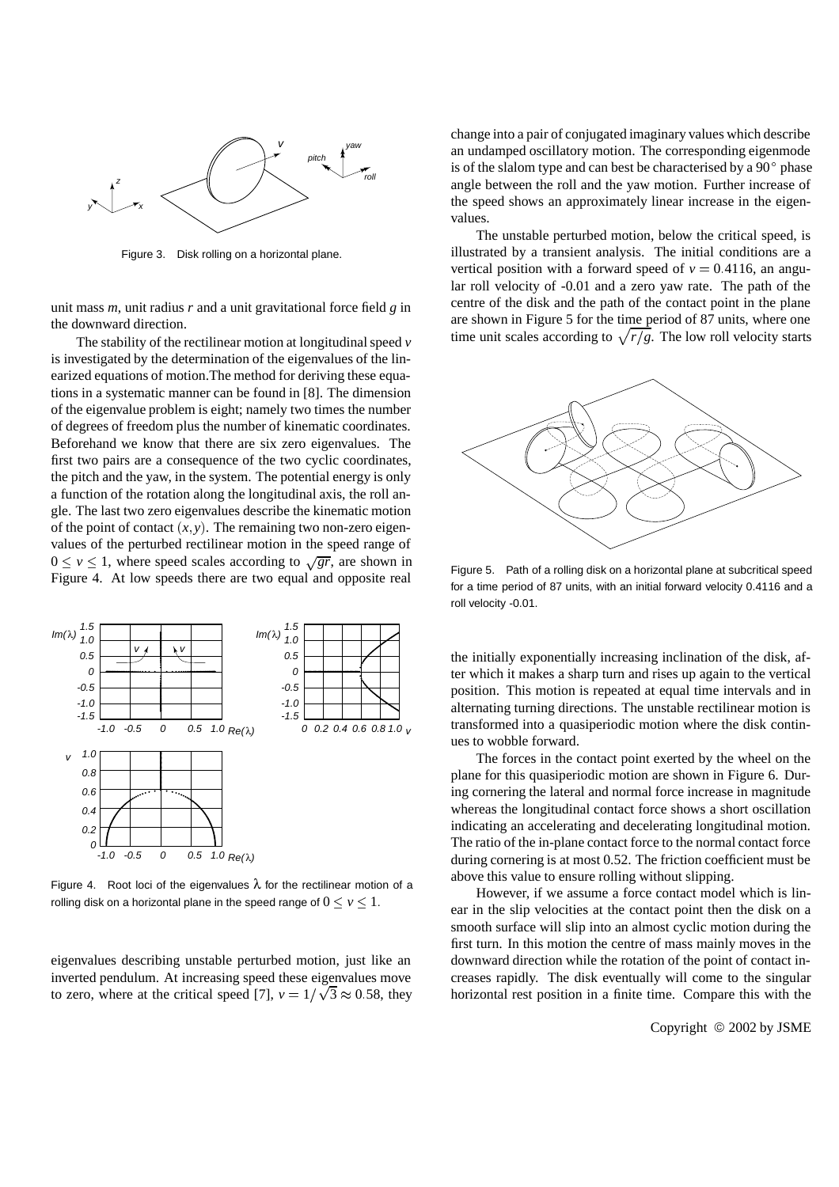

Figure 3. Disk rolling on a horizontal plane.

unit mass *m*, unit radius *r* and a unit gravitational force field *g* in the downward direction.

The stability of the rectilinear motion at longitudinal speed *v* is investigated by the determination of the eigenvalues of the linearized equations of motion.The method for deriving these equations in a systematic manner can be found in [8]. The dimension of the eigenvalue problem is eight; namely two times the number of degrees of freedom plus the number of kinematic coordinates. Beforehand we know that there are six zero eigenvalues. The first two pairs are a consequence of the two cyclic coordinates, the pitch and the yaw, in the system. The potential energy is only a function of the rotation along the longitudinal axis, the roll angle. The last two zero eigenvalues describe the kinematic motion of the point of contact  $(x, y)$ . The remaining two non-zero eigenvalues of the perturbed rectilinear motion in the speed range of  $0 \le v \le 1$ , where speed scales according to  $\sqrt{gr}$ , are shown in Figure 4. At low speeds there are two equal and opposite real



Figure 4. Root loci of the eigenvalues  $\lambda$  for the rectilinear motion of a rolling disk on a horizontal plane in the speed range of  $0 \le v \le 1$ .

eigenvalues describing unstable perturbed motion, just like an inverted pendulum. At increasing speed these eigenvalues move to zero, where at the critical speed [7],  $v = 1/\sqrt{3} \approx 0.58$ , they change into a pair of conjugated imaginary values which describe an undamped oscillatory motion. The corresponding eigenmode is of the slalom type and can best be characterised by a  $90^{\circ}$  phase angle between the roll and the yaw motion. Further increase of the speed shows an approximately linear increase in the eigenvalues.

The unstable perturbed motion, below the critical speed, is illustrated by a transient analysis. The initial conditions are a vertical position with a forward speed of  $v = 0.4116$ , an angular roll velocity of -0.01 and a zero yaw rate. The path of the centre of the disk and the path of the contact point in the plane are shown in Figure 5 for the time period of 87 units, where one time unit scales according to  $\sqrt{r/g}$ . The low roll velocity starts



Figure 5. Path of a rolling disk on a horizontal plane at subcritical speed for a time period of 87 units, with an initial forward velocity 0.4116 and a roll velocity -0.01.

the initially exponentially increasing inclination of the disk, after which it makes a sharp turn and rises up again to the vertical position. This motion is repeated at equal time intervals and in alternating turning directions. The unstable rectilinear motion is transformed into a quasiperiodic motion where the disk continues to wobble forward.

The forces in the contact point exerted by the wheel on the plane for this quasiperiodic motion are shown in Figure 6. During cornering the lateral and normal force increase in magnitude whereas the longitudinal contact force shows a short oscillation indicating an accelerating and decelerating longitudinal motion. The ratio of the in-plane contact force to the normal contact force during cornering is at most 0.52. The friction coefficient must be above this value to ensure rolling without slipping.

However, if we assume a force contact model which is linear in the slip velocities at the contact point then the disk on a smooth surface will slip into an almost cyclic motion during the first turn. In this motion the centre of mass mainly moves in the downward direction while the rotation of the point of contact increases rapidly. The disk eventually will come to the singular horizontal rest position in a finite time. Compare this with the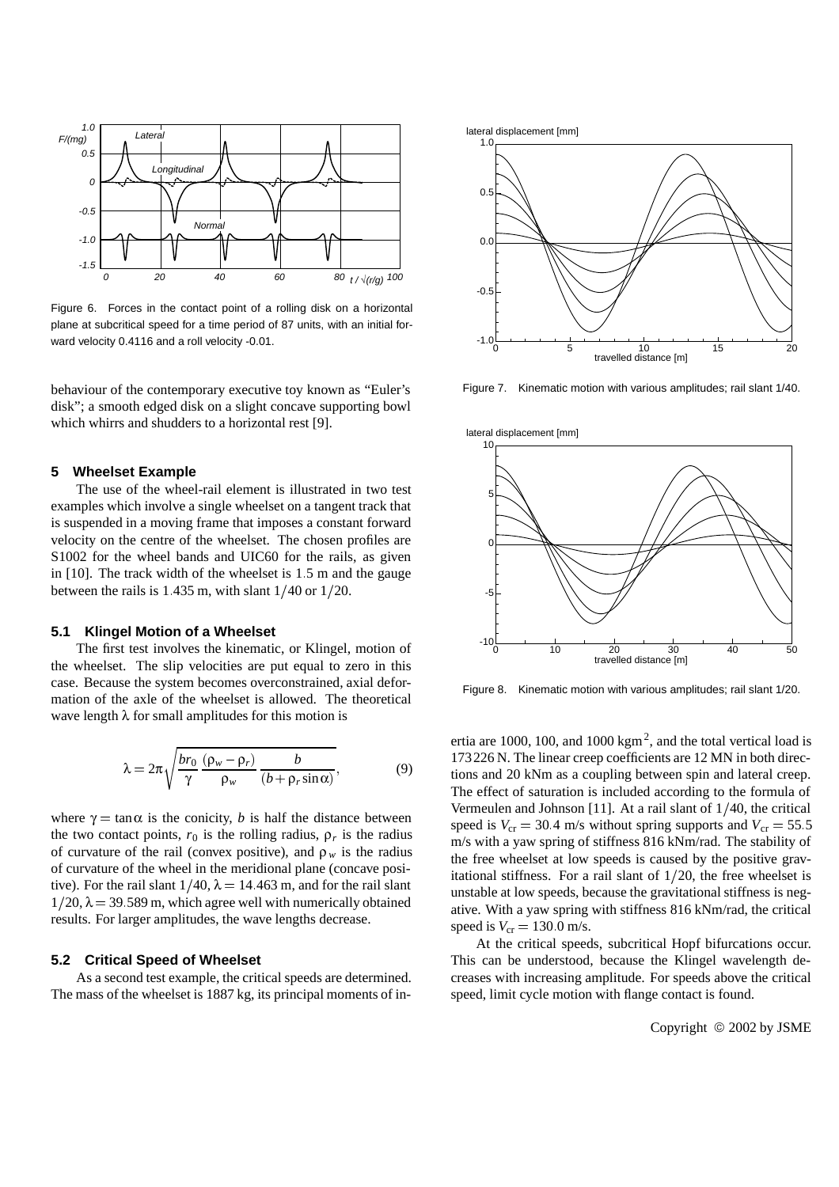

Figure 6. Forces in the contact point of a rolling disk on a horizontal plane at subcritical speed for a time period of 87 units, with an initial forward velocity 0.4116 and a roll velocity -0.01.

behaviour of the contemporary executive toy known as "Euler's disk"; a smooth edged disk on a slight concave supporting bowl which whirrs and shudders to a horizontal rest [9].

### **5 Wheelset Example**

The use of the wheel-rail element is illustrated in two test examples which involve a single wheelset on a tangent track that is suspended in a moving frame that imposes a constant forward velocity on the centre of the wheelset. The chosen profiles are S1002 for the wheel bands and UIC60 for the rails, as given in [10]. The track width of the wheelset is 1:5 m and the gauge between the rails is  $1.435$  m, with slant  $1/40$  or  $1/20$ .

#### **5.1 Klingel Motion of a Wheelset**

The first test involves the kinematic, or Klingel, motion of the wheelset. The slip velocities are put equal to zero in this case. Because the system becomes overconstrained, axial deformation of the axle of the wheelset is allowed. The theoretical wave length  $\lambda$  for small amplitudes for this motion is

$$
\lambda = 2\pi \sqrt{\frac{br_0}{\gamma} \frac{(\rho_w - \rho_r)}{\rho_w} \frac{b}{(b + \rho_r \sin \alpha)}},
$$
(9)

where  $\gamma = \tan \alpha$  is the conicity, *b* is half the distance between the two contact points,  $r_0$  is the rolling radius,  $\rho_r$  is the radius of curvature of the rail (convex positive), and  $\rho_w$  is the radius of curvature of the wheel in the meridional plane (concave positive). For the rail slant  $1/40$ ,  $\lambda = 14.463$  m, and for the rail slant  $1/20$ ,  $\lambda = 39.589$  m, which agree well with numerically obtained results. For larger amplitudes, the wave lengths decrease.

#### **5.2 Critical Speed of Wheelset**

As a second test example, the critical speeds are determined. The mass of the wheelset is 1887 kg, its principal moments of in-





Figure 7. Kinematic motion with various amplitudes; rail slant 1/40.



Figure 8. Kinematic motion with various amplitudes; rail slant 1/20.

ertia are 1000, 100, and 1000 kgm<sup>2</sup>, and the total vertical load is 173226 N. The linear creep coefficients are 12 MN in both directions and 20 kNm as a coupling between spin and lateral creep. The effect of saturation is included according to the formula of Vermeulen and Johnson [11]. At a rail slant of  $1/40$ , the critical speed is  $V_{cr} = 30.4$  m/s without spring supports and  $V_{cr} = 55.5$ m/s with a yaw spring of stiffness 816 kNm/rad. The stability of the free wheelset at low speeds is caused by the positive gravitational stiffness. For a rail slant of  $1/20$ , the free wheelset is unstable at low speeds, because the gravitational stiffness is negative. With a yaw spring with stiffness 816 kNm/rad, the critical speed is  $V_{cr} = 130.0$  m/s.

At the critical speeds, subcritical Hopf bifurcations occur. This can be understood, because the Klingel wavelength decreases with increasing amplitude. For speeds above the critical speed, limit cycle motion with flange contact is found.

Copyright  $@$  2002 by JSME